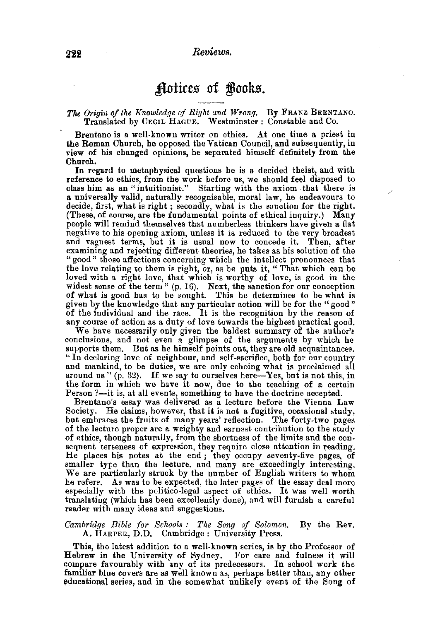## Actices of Books.

## The Origin of the Knowledge of Right and Wrong. By FRANZ BRENTANO. Translated by CECIL HAGUE. Westminster: Constable and Co.

Brentano is a well-known writer on ethics. At one time a priest in the Roman Church, he opposed the Vatican Council, and subsequently, in view of his changed opinions, he separated himself definitely from the Chnrch.

In regard to metaphysical questions he is a decided theist, and with reference to ethics, from the work before us, we should feel disposed to class him as an "intuitionist." Starting with the axiom that there is a universally valid, naturally recognisable, moral law, he endeavours to decide, first, what is right; secondly, what is the sanction for the right. (These, of course, are the fundamental points of ethical inquiry.) Many people will remind themselves that numberless thinkers have given a flat negative to his opening axiom, unless it is reduced to the very broadest and vaguest terms, but it is usual now to concede it. Then, after examining and rejecting different theories, he takes as his solution of the "good" those affections concerning which the intellect pronounces that the love relating to them is right, or, as he puts it, "That which can be loved with a right Jove, that which is worthy of love, is good in the widest sense of the term" (p. 16). Next, the sanction for our conception of what is good has to be sought. This he determines to be what is given by the knowledge that any particular action will be for the "good" of the individual and the race. It is the recognition by the reason of any course of action as a duty of love towards the highest practical good.

We have necessarily only given the baldest summary of the author's conclusions, and not even a glimpse of the arguments by which he supports them. But as he himself points out, they are old acquaintances. "In declaring love of neighbour, and self-sacrifice, both for our country and mankind, to be duties, we are only echoing what is proclaimed all around us "  $(p, 32)$ . If we say to ourselves here-Yes, but is not this, in the form in which we have it now, due to the teaching of a certain Person ?-it is, at all events, something to have the doctrine accepted.

Brentano's essay was delivered as a lecture before the Vienna Law Society. He claims, however, that it is not a fugitive, occasional study, but embraces the fruits of many years' reflection. The forty-two pages of the lecture proper are a weighty and earnest contribution to the study of ethics, though naturally, from the shortness of the limits and the consequent terseness of expression, they require close attention in reading. He places his notes at the end ; they occupy seventy-five pages, of smaller type than the lecture. and many are exceedingly interesting. We are particularly struck by the number of English writers to whom he refers. As was to be expected, the later pages of the essay deal more especially with the politico-legal aspect of ethics. It was well worth translating (which has been excellently done), and will furnish a careful reader with many ideas and suggestions.

## *Cambridge Bible (01· Schools: The Song of Solomon.* By the Rev. A. HARPER, D.D. Cambridge: University Press.

This, the latest addition to a wel!.known series, is by the Professor of Hebrew in the University of Sydney. For care and fulness it will compare favourably with any of its predecessors. In school work the familiar blue covers are as well known as, perhaps better than, any other educational series, and in the somewhat unlikely event of the Song of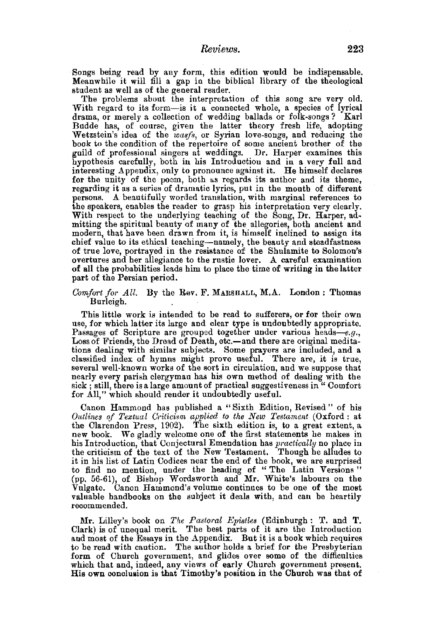Songs being read by any form, this edition would be indispensable. Meanwhile it will fill a gap in the biblical library of the theological student as well as of the general reader.

The problems about the interpretation of this song are very old. With regard to its form-is it a connected whole, a species of lyrical drama, or merely a collection of wedding ballads or folk-songs? Karl Budde has, of course, given the latter theory fresh life, adopting Wetzstein's idea of the *wasfs,* or Syrian love-songs, and reducing the book to the condition of the repertoire of some ancient brother of the guild of professional singers at weddings. Dr. Harper examines this hypothesis carefully, both in his Introduction and in a very full and interesting Appendix, only to pronounce against it. He himself declares for the unity of the poem, both as regards its author and its theme, regarding it as a series of dramatic lyrics, put in the mouth of different persons. A beautifully worded translation, with marginal references to the speakers, enables the reader to grasp his interpretation very clearly. With respect to the underlying teaching of the Song, Dr. Harper, admitting the spiritual beauty of many of the allegories, both ancient and modern, that have been drawn from it, is himself inclined to assign its chief value to its ethical teaching-namely, the beauty and steadfastness of true love, portrayed in the resistance of the Shulamite to Solomon's overtures and her allegiance to the rustic lover. A careful examination of all the probabilities leads him to place the time of writing in the latter part of the Persian period.

*Comfort for All.* By the Rev. F. MARSHALL, M.A. London : Thomas Burleigh.

This little work is intended to be read to sufferers, or for their own use, for which latter its large and clear type is undoubtedly appropriate. Passages of Scripture are grouped together under various heads-e.g., Loss of Friends, the Dread of Death, etc.-and there are original medita-<br>tions dealing with similar subjects. Some prayers are included, and a classified index of hymns might prove useful. There are, it is true, several well-known works of the sort in circulation, and we suppose that nearly every parish clergyman has his own method of dealing with the sick ; still, there is a large amount of practical suggestiveness in " Comfort for All," which should render it undoubtedly useful.

Canon Hammond has published a "Sixth Edition, Revised" of his *Outlines of Textual Criticism applied to the New Testament* (Oxford: at the Clarendon Press, 1902). The sixth edition is, to a great extent, a new book. We gladly welcome one of the first statements he makes in his Introduction, that Conjectural Emendation has *practically* no place in the criticism of the text of the New Testament. Though he alludes to it in his list of Latin Codices near the end of the book, we are surprised to find no mention, under the heading of " The Latin Versions " (pp. 56-61), of Bishop Wordsworth and Mr. White's labours on the Vulgate. Canon Hammond's volume continues to be one of the most valuable handbooks on the subject it deals with, and can be heartily recommended.

Mr. Lilley's book on *The Pastoral Epistles* (Edinburgh: T. and T. Clark) is of unequal merit. The best parts of it are the Introduction and most of the Essays in the Appendix. But it is a book which requires to be read with caution. The author holds a brief for the Presbyterian form of Church government, and glides over some of the difficulties which that and, indeed, any views of early Church government present. His own conclusion is that Timothy's position in the Church was that of